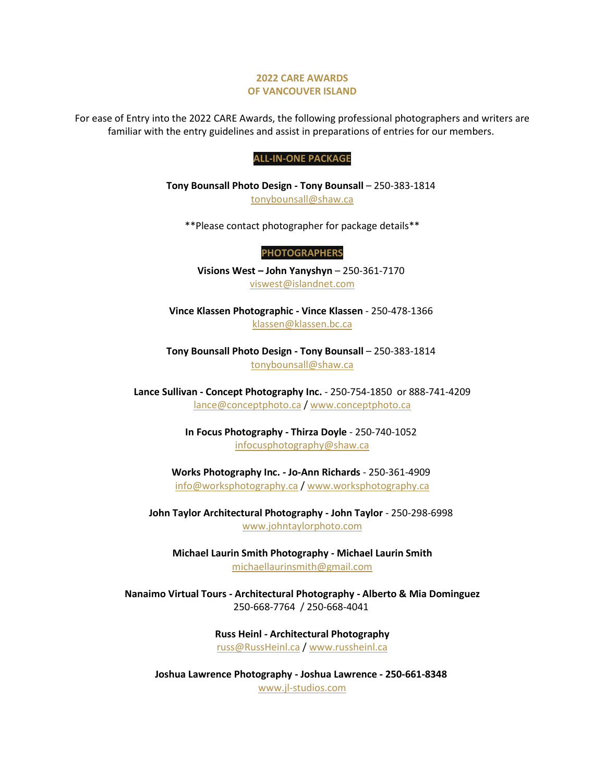## **2022 CARE AWARDS OF VANCOUVER ISLAND**

For ease of Entry into the 2022 CARE Awards, the following professional photographers and writers are familiar with the entry guidelines and assist in preparations of entries for our members.

## **ALL-IN-ONE PACKAGE**

**Tony Bounsall Photo Design - Tony Bounsall** – 250-383-1814 [tonybounsall@shaw.ca](mailto:tonybounsall@shaw.ca)

\*\*Please contact photographer for package details\*\*

**PHOTOGRAPHERS**

**Visions West – John Yanyshyn** – 250-361-7170 [viswest@islandnet.com](mailto:viswest@islandnet.com)

**Vince Klassen Photographic - Vince Klassen** - 250-478-1366 [klassen@klassen.bc.ca](mailto:klassen@klassen.bc.ca)

**Tony Bounsall Photo Design - Tony Bounsall** – 250-383-1814 [tonybounsall@shaw.ca](mailto:tonybounsall@shaw.ca)

**Lance Sullivan - Concept Photography Inc.** - 250-754-1850 or 888-741-4209 [lance@conceptphoto.ca](mailto:lance@conceptphoto.ca) / [www.conceptphoto.ca](http://www.conceptphoto.ca/)

> **In Focus Photography - Thirza Doyle** - 250-740-1052 [infocusphotography@shaw.ca](mailto:infocusphotography@shaw.ca)

**Works Photography Inc. - Jo-Ann Richards** - 250-361-4909 [info@worksphotography.ca](mailto:info@worksphotography.ca) / [www.worksphotography.ca](http://www.worksphotography.ca/)

**John Taylor Architectural Photography - John Taylor** - 250-298-6998 [www.johntaylorphoto.com](http://www.johntaylorphoto.com/)

**Michael Laurin Smith Photography - Michael Laurin Smith** [michaellaurinsmith@gmail.com](mailto:michaellaurinsmith@gmail.com)

**Nanaimo Virtual Tours - Architectural Photography - Alberto & Mia Dominguez** 250-668-7764 / 250-668-4041

> **Russ Heinl - Architectural Photography** [russ@RussHeinl.ca](mailto:russ@RussHeinl.ca) / [www.russheinl.ca](http://www.russheinl.ca/)

**Joshua Lawrence Photography - Joshua Lawrence - 250-661-8348** [www.jl-studios.com](http://www.jl-studios.com/)